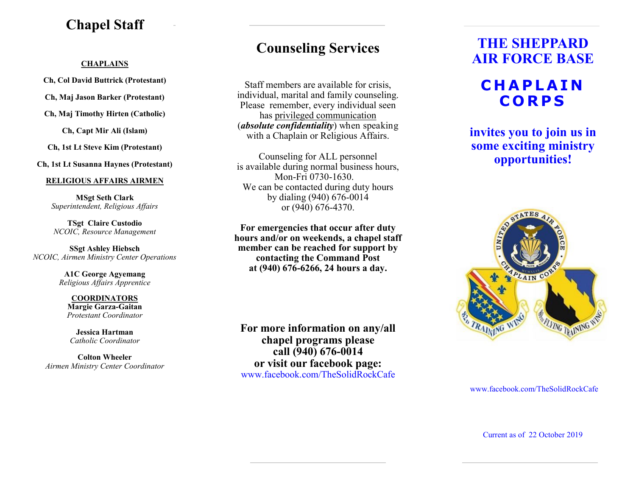### **Chapel Staff**

#### **CHAPLAINS**

**Ch, Col David Buttrick (Protestant)**

**Ch, Maj Jason Barker (Protestant)**

**Ch, Maj Timothy Hirten (Catholic)**

**Ch, Capt Mir Ali (Islam)**

**Ch, 1st Lt Steve Kim (Protestant)**

**Ch, 1st Lt Susanna Haynes (Protestant)**

#### **RELIGIOUS AFFAIRS AIRMEN**

**MSgt Seth Clark**  *Superintendent, Religious Affairs*

**TSgt Claire Custodio** *NCOIC, Resource Management*

**SSgt Ashley Hiebsch** *NCOIC, Airmen Ministry Center Operations*

> **A1C George Agyemang** *Religious Affairs Apprentice*

**COORDINATORS Margie Garza-Gaitan** *Protestant Coordinator*

**Jessica Hartman** *Catholic Coordinator*

**Colton Wheeler** *Airmen Ministry Center Coordinator*

### **Counseling Services**

Staff members are available for crisis, individual, marital and family counseling. Please remember, every individual seen has privileged communication (*absolute confidentiality*) when speaking with a Chaplain or Religious Affairs.

Counseling for ALL personnel is available during normal business hours, Mon-Fri 0730-1630. We can be contacted during duty hours by dialing (940) 676-0014 or (940) 676-4370.

**For emergencies that occur after duty hours and/or on weekends, a chapel staff member can be reached for support by contacting the Command Post at (940) 676-6266, 24 hours a day.**

**For more information on any/all chapel programs please call (940) 676-0014 or visit our facebook page:**  www.facebook.com/TheSolidRockCafe

## **THE SHEPPARD AIR FORCE BASE**

## **C H A P L A I N C O R P S**

**invites you to join us in some exciting ministry opportunities!**



#### www.facebook.com/TheSolidRockCafe

Current as of 22 October 2019